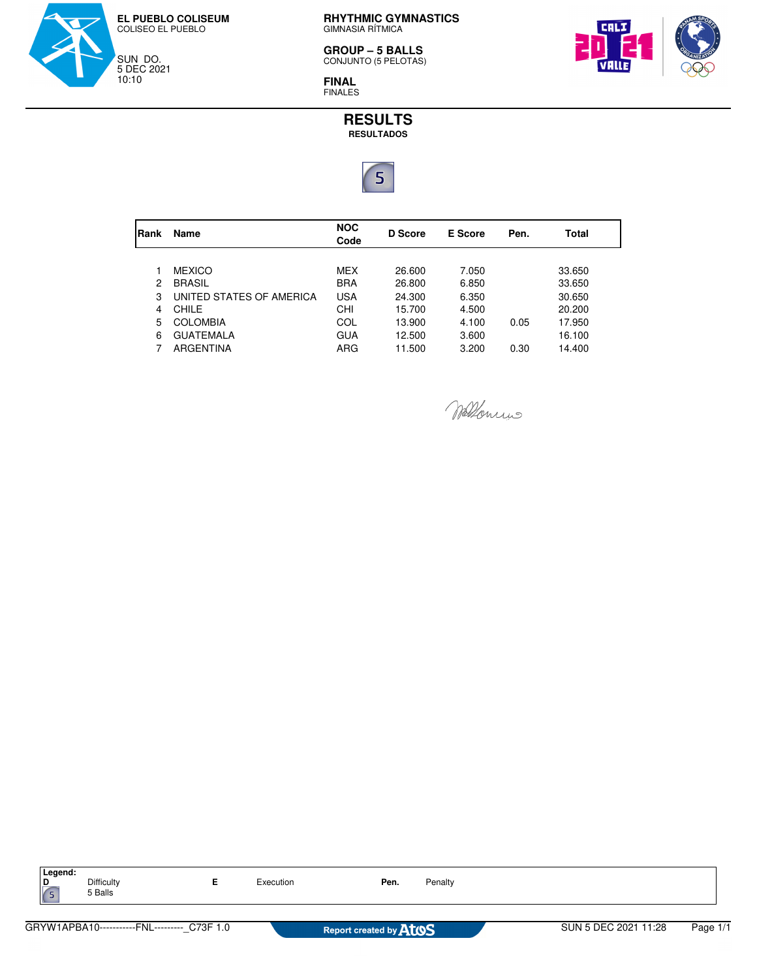

**RHYTHMIC GYMNASTICS**<br>GIMNASIA RÍTMICA

**GROUP – 5 BALLS** CONJUNTO (5 PELOTAS)



**FINAL** FINALES

**RESULTS RESULTADOS**



| Rank | Name                     | <b>NOC</b><br>Code | D Score | E Score | Pen. | Total  |
|------|--------------------------|--------------------|---------|---------|------|--------|
|      |                          |                    |         |         |      |        |
|      | <b>MEXICO</b>            | <b>MEX</b>         | 26,600  | 7.050   |      | 33.650 |
| 2    | <b>BRASIL</b>            | <b>BRA</b>         | 26,800  | 6.850   |      | 33.650 |
| 3    | UNITED STATES OF AMERICA | <b>USA</b>         | 24.300  | 6.350   |      | 30.650 |
| 4    | CHILE                    | CHI                | 15.700  | 4.500   |      | 20,200 |
| 5    | <b>COLOMBIA</b>          | COL                | 13.900  | 4.100   | 0.05 | 17.950 |
| 6    | <b>GUATEMALA</b>         | <b>GUA</b>         | 12.500  | 3.600   |      | 16.100 |
|      | ARGENTINA                | ARG                | 11.500  | 3.200   | 0.30 | 14.400 |
|      |                          |                    |         |         |      |        |

Wellowins